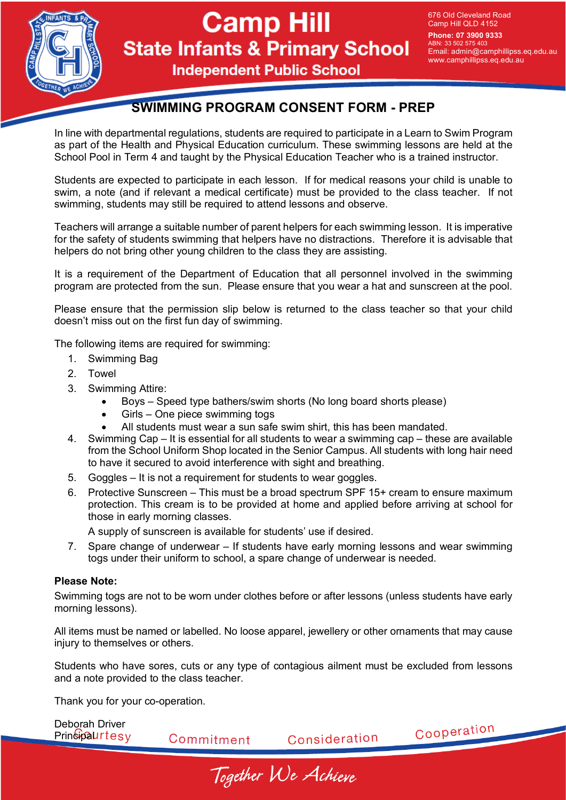

## **Camp Hill State Infants & Primary School**

676 Old Cleveland Road Camp Hill QLD 4152

**Phone: 07 3900 9333** ABN: 33 502 575 403 Email: admin@camphillipss.eq.edu.au www.camphillipss.eq.edu.au

**Independent Public School** 

### **SWIMMING PROGRAM CONSENT FORM - PREP**

In line with departmental regulations, students are required to participate in a Learn to Swim Program as part of the Health and Physical Education curriculum. These swimming lessons are held at the School Pool in Term 4 and taught by the Physical Education Teacher who is a trained instructor.

Students are expected to participate in each lesson. If for medical reasons your child is unable to swim, a note (and if relevant a medical certificate) must be provided to the class teacher. If not swimming, students may still be required to attend lessons and observe.

Teachers will arrange a suitable number of parent helpers for each swimming lesson. It is imperative for the safety of students swimming that helpers have no distractions. Therefore it is advisable that helpers do not bring other young children to the class they are assisting.

It is a requirement of the Department of Education that all personnel involved in the swimming program are protected from the sun. Please ensure that you wear a hat and sunscreen at the pool.

Please ensure that the permission slip below is returned to the class teacher so that your child doesn't miss out on the first fun day of swimming.

The following items are required for swimming:

- 1. Swimming Bag
- 2. Towel
- 3. Swimming Attire:
	- Boys Speed type bathers/swim shorts (No long board shorts please)
	- Girls One piece swimming togs
	- All students must wear a sun safe swim shirt, this has been mandated.
- 4. Swimming Cap It is essential for all students to wear a swimming cap these are available from the School Uniform Shop located in the Senior Campus. All students with long hair need to have it secured to avoid interference with sight and breathing.
- 5. Goggles It is not a requirement for students to wear goggles.
- 6. Protective Sunscreen This must be a broad spectrum SPF 15+ cream to ensure maximum protection. This cream is to be provided at home and applied before arriving at school for those in early morning classes.

A supply of sunscreen is available for students' use if desired.

7. Spare change of underwear – If students have early morning lessons and wear swimming togs under their uniform to school, a spare change of underwear is needed.

#### **Please Note:**

Swimming togs are not to be worn under clothes before or after lessons (unless students have early morning lessons).

All items must be named or labelled. No loose apparel, jewellery or other ornaments that may cause injury to themselves or others.

Students who have sores, cuts or any type of contagious ailment must be excluded from lessons and a note provided to the class teacher.

Thank you for your co-operation.

Deborah Driver Cooperation **Principaurtesy** Consideration Commitment

Together We Achieve